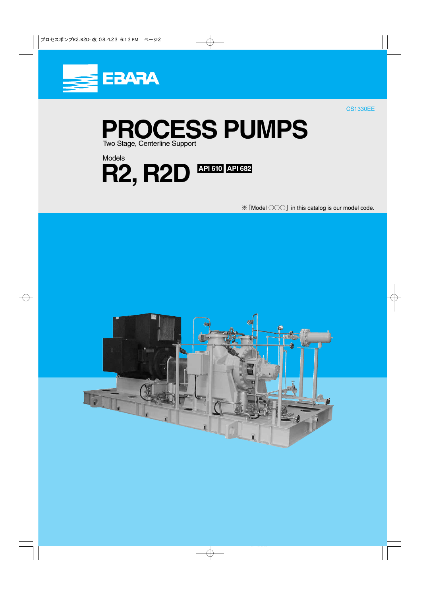

CS1330EE

**PROCESS PUMPS** Two Stage, Centerline Support

 $R2, R2D$ <sup>API610</sup> API682 Models

※「Model ○○○」 in this catalog is our model code.

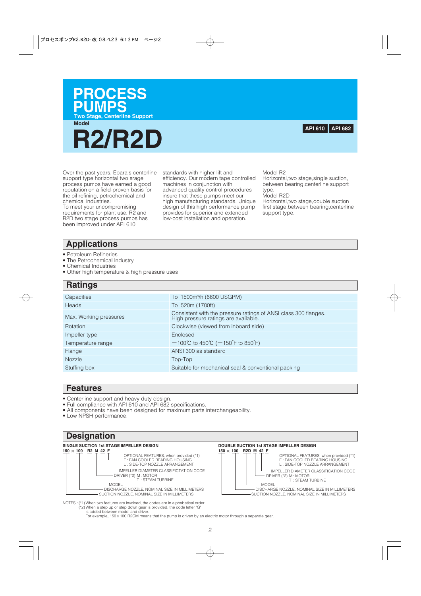

**Model**



Over the past years, Ebara's centerline support type horizontal two srage process pumps have earned a good reputation on a field-proven basis for the oil refining, petrochemical and chemical industries.

To meet your uncompromising requirements for plant use. R2 and R2D two stage process pumps has been improved under API 610

standards with higher lift and efficiency. Our modern tape controlled machines in conjunction with advanced quality control procedures insure that these pumps meet our high manufacturing standards. Unique design of this high performance pump provides for superior and extended low-cost installation and operation.

Model R2

Horizontal,two stage,single suction, between bearing,centerline support type.

Model R2D

Horizontal,two stage,double suction first stage,between bearing,centerline support type.

## **Applications**

- Petroleum Refineries
- The Petrochemical lndustry
- Chemical Industries
- Other high temperature & high pressure uses

## **Ratings**

| Capacities             | To 1500m <sup>3</sup> /h (6600 USGPM)                                                                   |
|------------------------|---------------------------------------------------------------------------------------------------------|
| <b>Heads</b>           | To 520m (1700ft)                                                                                        |
| Max. Working pressures | Consistent with the pressure ratings of ANSI class 300 flanges.<br>High pressure ratings are available. |
| Rotation               | Clockwise (viewed from inboard side)                                                                    |
| Impeller type          | Enclosed                                                                                                |
| Temperature range      | $-100^{\circ}C$ to 450 $^{\circ}C$ ( $-150^{\circ}F$ to 850 $^{\circ}F$ )                               |
| Flange                 | ANSI 300 as standard                                                                                    |
| <b>Nozzle</b>          | Top-Top                                                                                                 |
| Stuffing box           | Suitable for mechanical seal & conventional packing                                                     |
|                        |                                                                                                         |

## **Features**

- Centerline support and heavy duty design.
- Full compliance with API 610 and API 682 specifications.
- All components have been designed for maximum parts interchangeability.
- Low NPSH performance.

## **Designation**

### **SINGLE SUCTION 1st STAGE IMPELLER DESIGN**





NOTES : (\*1) When two features are involved, the codes are in alphabetical order. (\*2) When a step up or step down gear is provided, the code letter "G" is added between model and driver.

For example, 150×100 R2GM means that the pump is driven by an electric motor through a separate gear.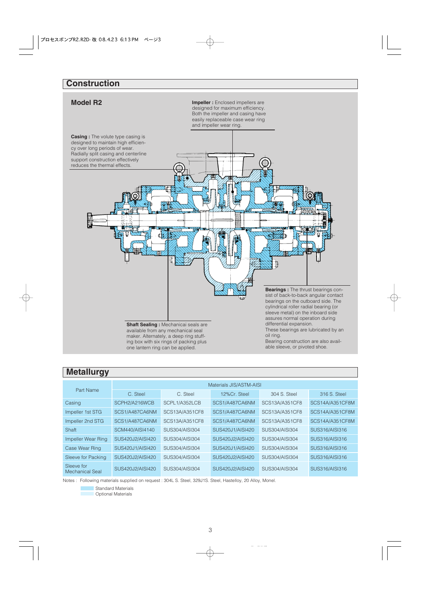# **Construction**



## **Metallurgy**

| Part Name                     | Materials JIS/ASTM-AISI |                |                  |                |                 |  |  |  |  |  |  |  |
|-------------------------------|-------------------------|----------------|------------------|----------------|-----------------|--|--|--|--|--|--|--|
|                               | C. Steel                | C. Steel       | 12%Cr. Steel     | 304 S. Steel   | 316 S. Steel    |  |  |  |  |  |  |  |
| Casing                        | SCPH2/A216WCB           | SCPL1/A352LCB  | SCS1/A487CA6NM   | SCS13A/A351CF8 | SCS14A/A351CF8M |  |  |  |  |  |  |  |
| Impeller 1st STG              | SCS1/A487CA6NM          | SCS13A/A351CF8 | SCS1/A487CA6NM   | SCS13A/A351CF8 | SCS14A/A351CF8M |  |  |  |  |  |  |  |
| Impeller 2nd STG              | SCS1/A487CA6NM          | SCS13A/A351CF8 | SCS1/A487CA6NM   | SCS13A/A351CF8 | SCS14A/A351CF8M |  |  |  |  |  |  |  |
| Shaft                         | SCM440/AISI4140         | SUS304/AISI304 | SUS420J1/AISI420 | SUS304/AISI304 | SUS316/AISI316  |  |  |  |  |  |  |  |
| Impeller Wear Ring            | SUS420J2/AISI420        | SUS304/AISI304 | SUS420J2/AISI420 | SUS304/AISI304 | SUS316/AISI316  |  |  |  |  |  |  |  |
| Case Wear Ring                | SUS420J1/AISI420        | SUS304/AISI304 | SUS420J1/AISI420 | SUS304/AISI304 | SUS316/AISI316  |  |  |  |  |  |  |  |
| Sleeve for Packing            | SUS420J2/AISI420        | SUS304/AISI304 | SUS420J2/AISI420 | SUS304/AISI304 | SUS316/AISI316  |  |  |  |  |  |  |  |
| Sleeve for<br>Mechanical Seal | SUS420J2/AISI420        | SUS304/AISI304 | SUS420J2/AISI420 | SUS304/AISI304 | SUS316/AISI316  |  |  |  |  |  |  |  |

Notes : Following materials supplied on request : 304L S. Steel, 329J1S. Steel, Hastelloy, 20 Alloy, Monel.

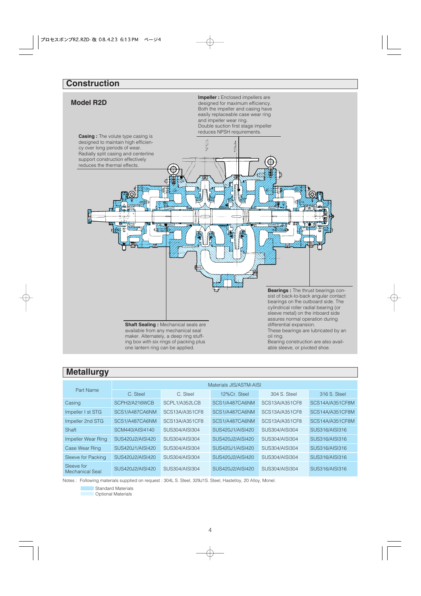# **Construction**



## **Metallurgy**

| Part Name                     | Materials JIS/ASTM-AISI |                |                  |                       |                 |  |  |  |  |  |  |  |
|-------------------------------|-------------------------|----------------|------------------|-----------------------|-----------------|--|--|--|--|--|--|--|
|                               | C. Steel                | C. Steel       | 12%Cr. Steel     | 304 S. Steel          | 316 S. Steel    |  |  |  |  |  |  |  |
| Casing                        | SCPH2/A216WCB           | SCPL1/A352LCB  | SCS1/A487CA6NM   | SCS13A/A351CF8        | SCS14A/A351CF8M |  |  |  |  |  |  |  |
| Impeller I st STG             | SCS1/A487CA6NM          | SCS13A/A351CF8 | SCS1/A487CA6NM   | SCS13A/A351CF8        | SCS14A/A351CF8M |  |  |  |  |  |  |  |
| Impeller 2nd STG              | SCS1/A487CA6NM          | SCS13A/A351CF8 | SCS1/A487CA6NM   | <b>SCS13A/A351CF8</b> | SCS14A/A351CF8M |  |  |  |  |  |  |  |
| Shaft                         | SCM440/AISI4140         | SUS304/AISI304 | SUS420J1/AISI420 | SUS304/AISI304        | SUS316/AISI316  |  |  |  |  |  |  |  |
| Impeller Wear Ring            | SUS420J2/AISI420        | SUS304/AISI304 | SUS420J2/AISI420 | SUS304/AISI304        | SUS316/AISI316  |  |  |  |  |  |  |  |
| Case Wear Ring                | SUS420J1/AISI420        | SUS304/AISI304 | SUS420J1/AISI420 | SUS304/AISI304        | SUS316/AISI316  |  |  |  |  |  |  |  |
| Sleeve for Packing            | SUS420J2/AISI420        | SUS304/AISI304 | SUS420J2/AISI420 | SUS304/AISI304        | SUS316/AISI316  |  |  |  |  |  |  |  |
| Sleeve for<br>Mechanical Seal | SUS420J2/AISI420        | SUS304/AISI304 | SUS420J2/AISI420 | SUS304/AISI304        | SUS316/AISI316  |  |  |  |  |  |  |  |

Notes : Following materials supplied on request : 304L S. Steel, 329J1S. Steel, Hastelloy, 20 Alloy, Monel.

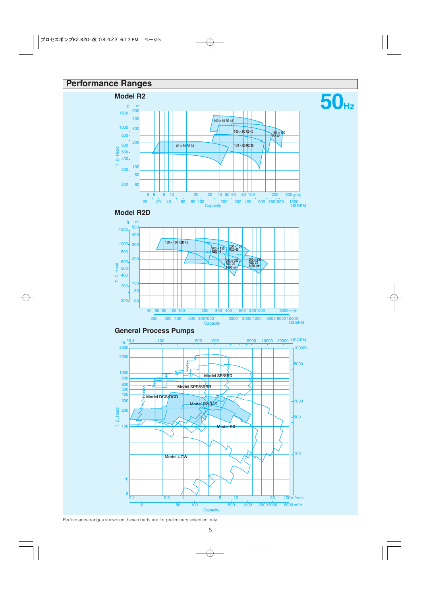# **Performance Ranges**









Performance ranges shown on these charts are for preliminary selection only.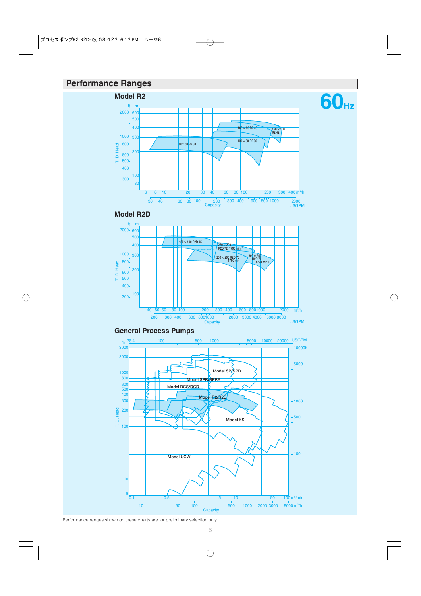# **Performance Ranges**



**60Hz**









Performance ranges shown on these charts are for preliminary selection only.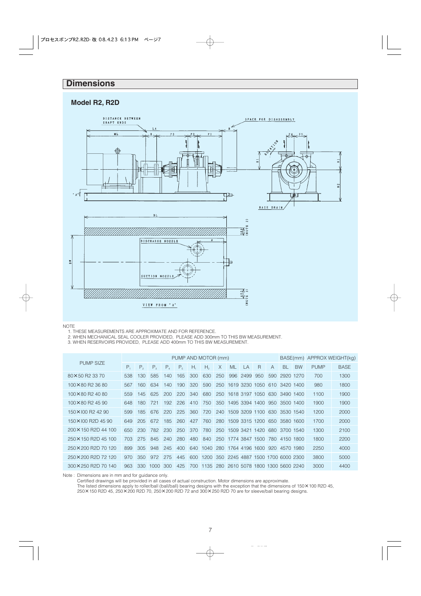# **Dimensions**

## **Model R2, R2D**







1. THESE MEASUREMENTS ARE APPROXIMATE AND FOR REFERENCE.

2. WHEN MECHANICAL SEAL COOLER PROVIDED, PLEASE ADD 300mm TO THIS BW MEASUREMENT.

3. WHEN RESERVOIRS PROVIDED, PLEASE ADD 400mm TO THIS BW MEASUREMENT.

VIEW FROM "A"

|                      | PUMP AND MOTOR (mm) |                |             |         |                |     |                |          |     |      |                                   |                |               | BASE(mm) APPROX WEIGHT(kg) |             |             |
|----------------------|---------------------|----------------|-------------|---------|----------------|-----|----------------|----------|-----|------|-----------------------------------|----------------|---------------|----------------------------|-------------|-------------|
| <b>PUMP SIZE</b>     | $P_{1}$             | P <sub>2</sub> | $P_{\rm a}$ | $P_{4}$ | P <sub>5</sub> | Н,  | H <sub>2</sub> | $\times$ | ML  | LA   | $\overline{R}$                    | $\overline{A}$ | <b>BL</b>     | <b>BW</b>                  | <b>PUMP</b> | <b>BASE</b> |
| 80×50 R2 33 70       | 538                 | 130            | 585         | 140     | 165            | 300 | 630            | 250      | 996 | 2499 | 950                               | 590            | 2920 1270     |                            | 700         | 1300        |
| 100×80 R2 36 80      | 567                 | 160            | 634         | 140     | 190            | 320 | 590            | 250      |     |      | 1619 3230 1050                    |                | 610 3420 1400 |                            | 980         | 1800        |
| 100×80 R2 40 80      | 559                 | 145            | 625         | 200     | 220            | 340 | 680            |          |     |      | 250 1618 3197 1050 630 3490 1400  |                |               |                            | 1100        | 1900        |
| 100×80 R2 45 90      | 648                 | 180            | 721         | 192     | 226            | 410 | 750            |          |     |      | 350 1495 3394 1400 950 3500 1400  |                |               |                            | 1900        | 1900        |
| 150×100 R2 42 90     | 599                 | 185            | 676         | 220     | 225            | 360 | 720            | 240      |     |      | 1509 3209 1100 630 3530 1540      |                |               |                            | 1200        | 2000        |
| 150×100 R2D 45 90    | 649                 | 205            | 672         | 185     | 260            | 427 | 760            | 280      |     |      | 1509 3315 1200 650 3580 1600      |                |               |                            | 1700        | 2000        |
| 200 × 150 R2D 44 100 | 650                 | 230            | 782         | 230     | 250            | 370 | 780            | 250      |     |      | 1509 3421 1420 680 3700 1540      |                |               |                            | 1300        | 2100        |
| 250 × 150 R2D 45 100 | 703                 | 275            | 845         | 240     | 280            | 480 | 840            | 250      |     |      | 1774 3847 1500                    |                | 780 4150 1800 |                            | 1800        | 2200        |
| 250×200 R2D 70 120   | 899                 | 305            | 948         | 245     | 400            | 640 | 1040           | 280      |     |      | 1764 4196 1600 920                |                | 4570 1980     |                            | 2250        | 4000        |
| 250×200 R2D 72 120   | 970                 | 350            | 972         | 275     | 445            | 600 | 1200           |          |     |      | 350 2245 4887 1500 1700 6000 2300 |                |               |                            | 3800        | 5000        |
| 300 × 250 R2D 70 140 | 963                 | 330            | 1000        | 300     | 425            | 700 | 1135           |          |     |      | 280 2610 5078 1800 1300 5600 2240 |                |               |                            | 3000        | 4400        |

Note : Dimensions are in mm and for guidance only.

Certified drawings will be provided in all cases of actual construction. Motor dimensions are approximate.

The listed dimensions apply to roller/ball (ball/ball) bearing designs with the exception that the dimensions of 150×100 R2D 45, ×150 R2D 45, 250×200 R2D 70, 250×200 R2D 72 and 300×250 R2D 70 are for sleeve/ball bearing designs.